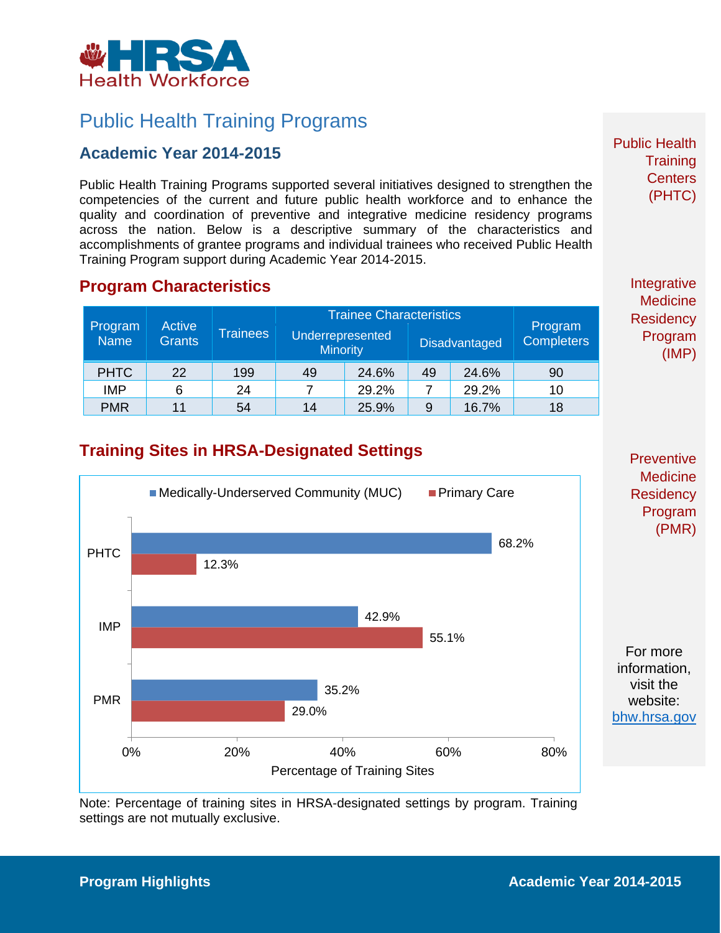

## Public Health Training Programs

### **Academic Year 2014-2015**

Public Health Training Programs supported several initiatives designed to strengthen the competencies of the current and future public health workforce and to enhance the quality and coordination of preventive and integrative medicine residency programs across the nation. Below is a descriptive summary of the characteristics and accomplishments of grantee programs and individual trainees who received Public Health Training Program support during Academic Year 2014-2015.

#### **Program Characteristics**

| Program<br>Name <sup>1</sup> | Active<br><b>Grants</b> | <b>Trainees</b> | <b>Trainee Characteristics</b>      |       |                      |       |                              |
|------------------------------|-------------------------|-----------------|-------------------------------------|-------|----------------------|-------|------------------------------|
|                              |                         |                 | Underrepresented<br><b>Minority</b> |       | <b>Disadvantaged</b> |       | Program<br><b>Completers</b> |
| <b>PHTC</b>                  | 22                      | 199             | 49                                  | 24.6% | 49                   | 24.6% | 90                           |
| <b>IMP</b>                   | 6                       | 24              |                                     | 29.2% |                      | 29.2% | 10                           |
| <b>PMR</b>                   | 11                      | 54              | 14                                  | 25.9% | 9                    | 16.7% | 18                           |

Integrative **Medicine Residency** Program (IMP)

Public Health

**Training Centers** (PHTC)

### **Training Sites in HRSA-Designated Settings**



**Preventive Medicine Residency** Program (PMR)

For more information, visit the website: [bhw.hrsa.gov](http://bhw.hrsa.gov/)

Note: Percentage of training sites in HRSA-designated settings by program. Training settings are not mutually exclusive.